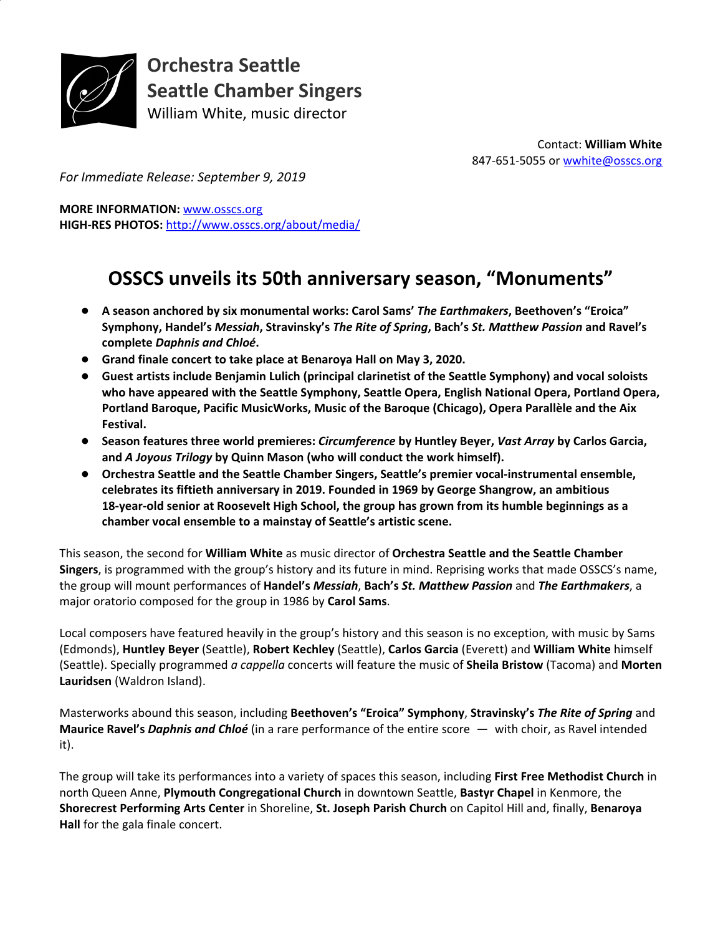

**Orchestra Seattle Seattle Chamber Singers** William White, music director

> Contact: **William White** 847-651-5055 or [wwhite@osscs.org](mailto:wwhite@osscs.org)

*For Immediate Release: September 9, 2019*

**MORE INFORMATION:** [www.osscs.org](http://www.osscs.org/) **HIGH-RES PHOTOS:** <http://www.osscs.org/about/media/>

# **OSSCS unveils its 50th anniversary season, "Monuments"**

- **A season anchored by six monumental works: Carol Sams'** *The Earthmakers***, Beethoven's "Eroica" Symphony, Handel's** *Messiah***, Stravinsky's** *The Rite of Spring***, Bach's** *St. Matthew Passion* **and Ravel's complete** *Daphnis and Chloé***.**
- **Grand finale concert to take place at Benaroya Hall on May 3, 2020.**
- **Guest artists include Benjamin Lulich (principal clarinetist of the Seattle Symphony) and vocal soloists who have appeared with the Seattle Symphony, Seattle Opera, English National Opera, Portland Opera, Portland Baroque, Pacific MusicWorks, Music of the Baroque (Chicago), Opera Parallèle and the Aix Festival.**
- **Season features three world premieres:** *Circumference* **by Huntley Beyer,** *Vast Array* **by Carlos Garcia, and** *A Joyous Trilogy* **by Quinn Mason (who will conduct the work himself).**
- **Orchestra Seattle and the Seattle Chamber Singers, Seattle's premier vocal-instrumental ensemble, celebrates its fiftieth anniversary in 2019. Founded in 1969 by George Shangrow, an ambitious 18-year-old senior at Roosevelt High School, the group has grown from its humble beginnings as a chamber vocal ensemble to a mainstay of Seattle's artistic scene.**

This season, the second for **William White** as music director of **Orchestra Seattle and the Seattle Chamber Singers**, is programmed with the group's history and its future in mind. Reprising works that made OSSCS's name, the group will mount performances of **Handel's** *Messiah*, **Bach's** *St. Matthew Passion* and *The Earthmakers*, a major oratorio composed for the group in 1986 by **Carol Sams**.

Local composers have featured heavily in the group's history and this season is no exception, with music by Sams (Edmonds), **Huntley Beyer** (Seattle), **Robert Kechley** (Seattle), **Carlos Garcia** (Everett) and **William White** himself (Seattle). Specially programmed *a cappella* concerts will feature the music of **Sheila Bristow** (Tacoma) and **Morten Lauridsen** (Waldron Island).

Masterworks abound this season, including **Beethoven's "Eroica" Symphony**, **Stravinsky's** *The Rite of Spring* and **Maurice Ravel's** *Daphnis and Chloé* (in a rare performance of the entire score — with choir, as Ravel intended it).

The group will take its performances into a variety of spaces this season, including **First Free Methodist Church** in north Queen Anne, **Plymouth Congregational Church** in downtown Seattle, **Bastyr Chapel** in Kenmore, the **Shorecrest Performing Arts Center** in Shoreline, **St. Joseph Parish Church** on Capitol Hill and, finally, **Benaroya Hall** for the gala finale concert.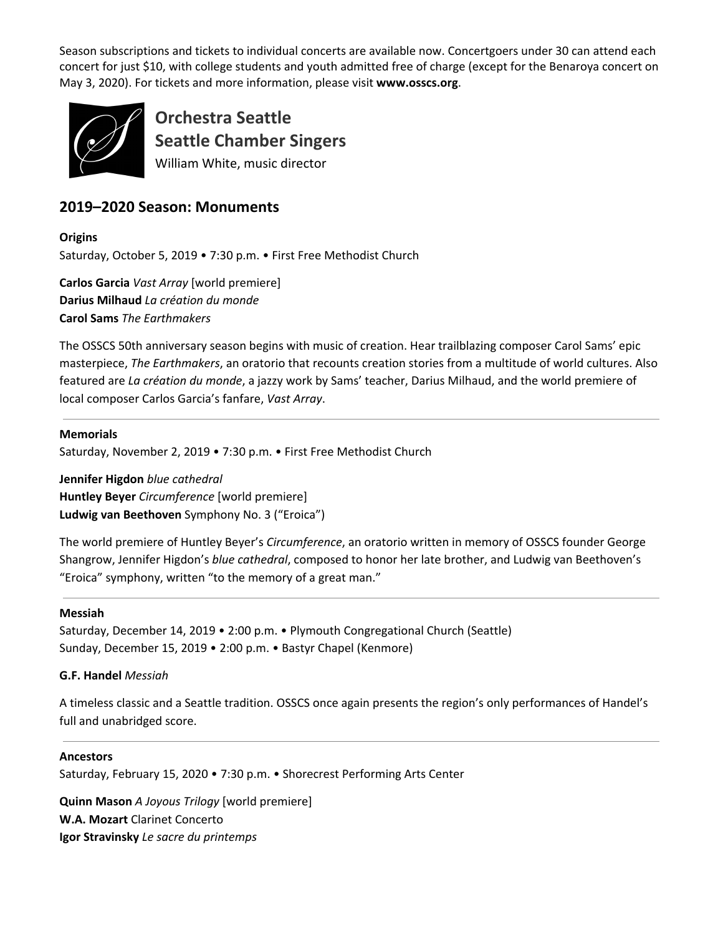Season subscriptions and tickets to individual concerts are available now. Concertgoers under 30 can attend each concert for just \$10, with college students and youth admitted free of charge (except for the Benaroya concert on May 3, 2020). For tickets and more information, please visit **www.osscs.org**.



**Orchestra Seattle Seattle Chamber Singers** William White, music director

# **2019–2020 Season: Monuments**

**Origins** Saturday, October 5, 2019 • 7:30 p.m. • First Free Methodist Church

**Carlos Garcia** *Vast Array* [world premiere] **Darius Milhaud** *La création du monde* **Carol Sams** *The Earthmakers*

The OSSCS 50th anniversary season begins with music of creation. Hear trailblazing composer Carol Sams' epic masterpiece, *The Earthmakers*, an oratorio that recounts creation stories from a multitude of world cultures. Also featured are *La création du monde*, a jazzy work by Sams' teacher, Darius Milhaud, and the world premiere of local composer Carlos Garcia's fanfare, *Vast Array*.

**Memorials**

Saturday, November 2, 2019 • 7:30 p.m. • First Free Methodist Church

**Jennifer Higdon** *blue cathedral* **Huntley Beyer** *Circumference* [world premiere] **Ludwig van Beethoven** Symphony No. 3 ("Eroica")

The world premiere of Huntley Beyer's *Circumference*, an oratorio written in memory of OSSCS founder George Shangrow, Jennifer Higdon's *blue cathedral*, composed to honor her late brother, and Ludwig van Beethoven's "Eroica" symphony, written "to the memory of a great man."

#### **Messiah**

Saturday, December 14, 2019 • 2:00 p.m. • Plymouth Congregational Church (Seattle) Sunday, December 15, 2019 • 2:00 p.m. • Bastyr Chapel (Kenmore)

# **G.F. Handel** *Messiah*

A timeless classic and a Seattle tradition. OSSCS once again presents the region's only performances of Handel's full and unabridged score.

#### **Ancestors**

Saturday, February 15, 2020 • 7:30 p.m. • Shorecrest Performing Arts Center

**Quinn Mason** *A Joyous Trilogy* [world premiere] **W.A. Mozart** Clarinet Concerto **Igor Stravinsky** *Le sacre du printemps*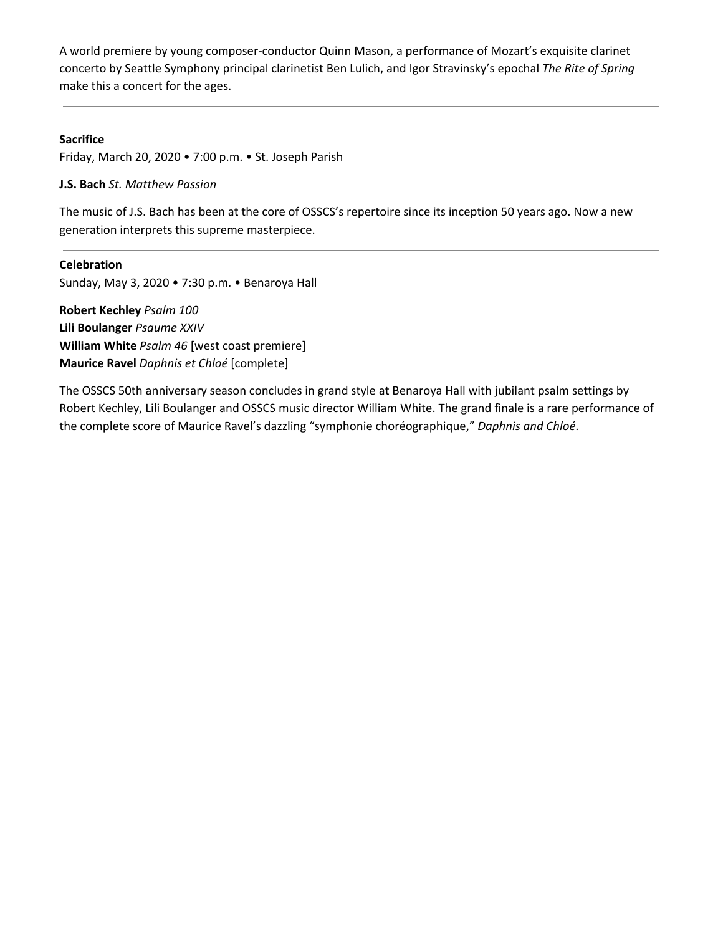A world premiere by young composer-conductor Quinn Mason, a performance of Mozart's exquisite clarinet concerto by Seattle Symphony principal clarinetist Ben Lulich, and Igor Stravinsky's epochal *The Rite of Spring* make this a concert for the ages.

# **Sacrifice**

Friday, March 20, 2020 • 7:00 p.m. • St. Joseph Parish

### **J.S. Bach** *St. Matthew Passion*

The music of J.S. Bach has been at the core of OSSCS's repertoire since its inception 50 years ago. Now a new generation interprets this supreme masterpiece.

**Celebration** Sunday, May 3, 2020 • 7:30 p.m. • Benaroya Hall

**Robert Kechley** *Psalm 100* **Lili Boulanger** *Psaume XXIV* **William White** *Psalm 46* [west coast premiere] **Maurice Ravel** *Daphnis et Chloé* [complete]

The OSSCS 50th anniversary season concludes in grand style at Benaroya Hall with jubilant psalm settings by Robert Kechley, Lili Boulanger and OSSCS music director William White. The grand finale is a rare performance of the complete score of Maurice Ravel's dazzling "symphonie choréographique," *Daphnis and Chloé*.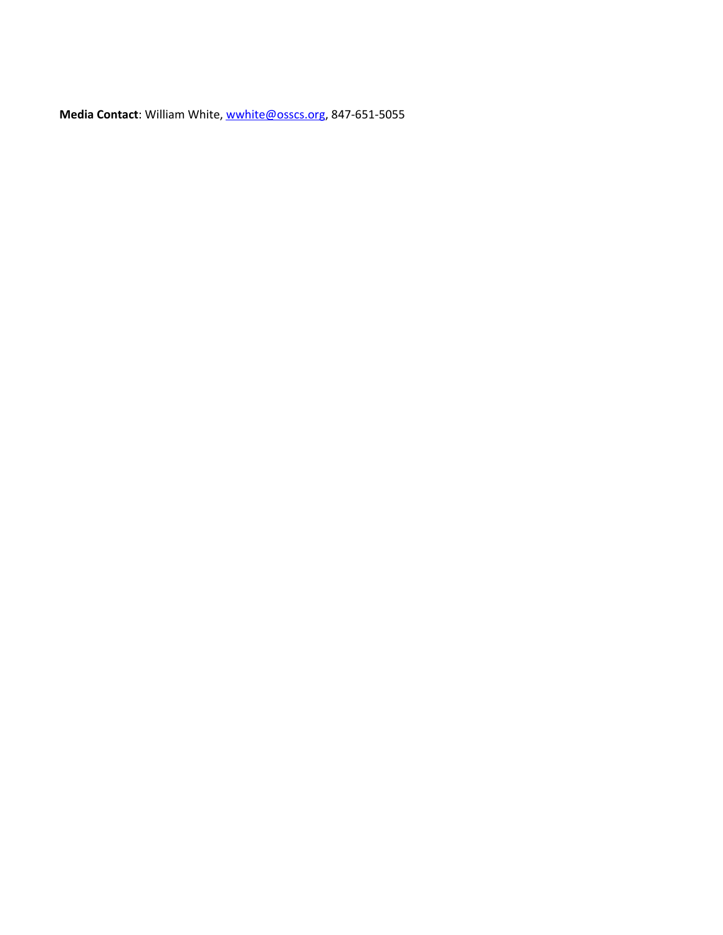**Media Contact**: William White, [wwhite@osscs.org](mailto:wwhite@osscs.org), 847-651-5055